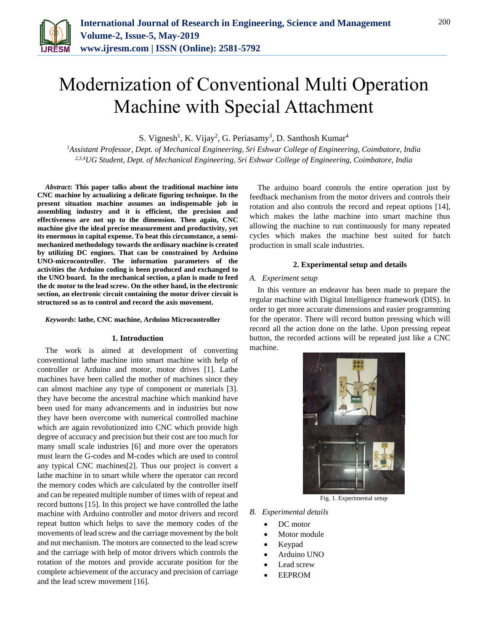

# Modernization of Conventional Multi Operation Machine with Special Attachment

S. Vignesh<sup>1</sup>, K. Vijay<sup>2</sup>, G. Periasamy<sup>3</sup>, D. Santhosh Kumar<sup>4</sup>

*<sup>1</sup>Assistant Professor, Dept. of Mechanical Engineering, Sri Eshwar College of Engineering, Coimbatore, India 2,3,4UG Student, Dept. of Mechanical Engineering, Sri Eshwar College of Engineering, Coimbatore, India*

*Abstract***: This paper talks about the traditional machine into CNC machine by actualizing a delicate figuring technique. In the present situation machine assumes an indispensable job in assembling industry and it is efficient, the precision and effectiveness are not up to the dimension. Then again, CNC machine give the ideal precise measurement and productivity, yet its enormous in capital expense. To beat this circumstance, a semimechanized methodology towards the ordinary machine is created by utilizing DC engines. That can be constrained by Arduino UNO-microcontroller. The information parameters of the activities the Arduino coding is been produced and exchanged to the UNO board. In the mechanical section, a plan is made to feed the dc motor to the lead screw. On the other hand, in the electronic section, an electronic circuit containing the motor driver circuit is structured so as to control and record the axis movement.**

## *Keywords***: lathe, CNC machine, Arduino Microcontroller**

## **1. Introduction**

The work is aimed at development of converting conventional lathe machine into smart machine with help of controller or Arduino and motor, motor drives [1]. Lathe machines have been called the mother of machines since they can almost machine any type of component or materials [3]. they have become the ancestral machine which mankind have been used for many advancements and in industries but now they have been overcome with numerical controlled machine which are again revolutionized into CNC which provide high degree of accuracy and precision but their cost are too much for many small scale industries [6] and more over the operators must learn the G-codes and M-codes which are used to control any typical CNC machines[2]. Thus our project is convert a lathe machine in to smart while where the operator can record the memory codes which are calculated by the controller itself and can be repeated multiple number of times with of repeat and record buttons [15]. In this project we have controlled the lathe machine with Arduino controller and motor drivers and record repeat button which helps to save the memory codes of the movements of lead screw and the carriage movement by the bolt and nut mechanism. The motors are connected to the lead screw and the carriage with help of motor drivers which controls the rotation of the motors and provide accurate position for the complete achievement of the accuracy and precision of carriage and the lead screw movement [16].

The arduino board controls the entire operation just by feedback mechanism from the motor drivers and controls their rotation and also controls the record and repeat options [14], which makes the lathe machine into smart machine thus allowing the machine to run continuously for many repeated cycles which makes the machine best suited for batch production in small scale industries.

#### **2. Experimental setup and details**

#### *A. Experiment setup*

In this venture an endeavor has been made to prepare the regular machine with Digital Intelligence framework (DIS). In order to get more accurate dimensions and easier programming for the operator. There will record button pressing which will record all the action done on the lathe. Upon pressing repeat button, the recorded actions will be repeated just like a CNC machine.



Fig. 1. Experimental setup

#### *B. Experimental details*

- DC motor
- Motor module
- Keypad
- Arduino UNO
- Lead screw
- EEPROM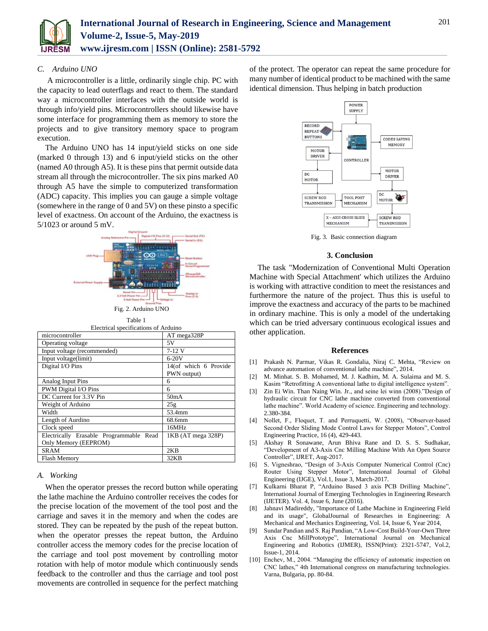

# *C. Arduino UNO*

A microcontroller is a little, ordinarily single chip. PC with the capacity to lead outerflags and react to them. The standard way a microcontroller interfaces with the outside world is through info/yield pins. Microcontrollers should likewise have some interface for programming them as memory to store the projects and to give transitory memory space to program execution.

The Arduino UNO has 14 input/yield sticks on one side (marked 0 through 13) and 6 input/yield sticks on the other (named A0 through A5). It is these pins that permit outside data stream all through the microcontroller. The six pins marked A0 through A5 have the simple to computerized transformation (ADC) capacity. This implies you can gauge a simple voltage (somewhere in the range of 0 and 5V) on these pinsto a specific level of exactness. On account of the Arduino, the exactness is 5/1023 or around 5 mV.



Table 1

| Electrical specifications of Arduino    |                       |
|-----------------------------------------|-----------------------|
| microcontroller                         | AT mega328P           |
| Operating voltage                       | 5V                    |
| Input voltage (recommended)             | $7-12V$               |
| Input voltage(limit)                    | $6-20V$               |
| Digital I/O Pins                        | 14(of which 6 Provide |
|                                         | PWN output)           |
| Analog Input Pins                       | 6                     |
| PWM Digital I/O Pins                    | 6                     |
| DC Current for 3.3V Pin                 | 50 <sub>m</sub> A     |
| Weight of Arduino                       | 25g                   |
| Width                                   | 53.4mm                |
| Length of Aurdino                       | 68.6mm                |
| Clock speed                             | 16MHz                 |
| Electrically Erasable Programmable Read | 1KB (AT mega 328P)    |
| Only Memory (EEPROM)                    |                       |
| SRAM                                    | 2KB                   |
| Flash Memory                            | 32KB                  |

# *A. Working*

When the operator presses the record button while operating the lathe machine the Arduino controller receives the codes for the precise location of the movement of the tool post and the carriage and saves it in the memory and when the codes are stored. They can be repeated by the push of the repeat button. when the operator presses the repeat button, the Arduino controller access the memory codes for the precise location of the carriage and tool post movement by controlling motor rotation with help of motor module which continuously sends feedback to the controller and thus the carriage and tool post movements are controlled in sequence for the perfect matching

of the protect. The operator can repeat the same procedure for many number of identical product to be machined with the same identical dimension. Thus helping in batch production



Fig. 3. Basic connection diagram

#### **3. Conclusion**

The task "Modernization of Conventional Multi Operation Machine with Special Attachment' which utilizes the Arduino is working with attractive condition to meet the resistances and furthermore the nature of the project. Thus this is useful to improve the exactness and accuracy of the parts to be machined in ordinary machine. This is only a model of the undertaking which can be tried adversary continuous ecological issues and other application.

#### **References**

- [1] Prakash N. Parmar, Vikas R. Gondalia, Niraj C. Mehta, "Review on advance automation of conventional lathe machine", 2014.
- [2] M. Minhat. S. B. Mohamed, M. J. Kadhim, M. A. Sulaima and M. S. Kasim "Retrofitting A conventional lathe to digital intelligence system".
- [3] Zin Ei Win. Than Naing Win. Jr., and seine lei winn (2008)."Design of hydraulic circuit for CNC lathe machine converted from conventional lathe machine". World Academy of science. Engineering and technology. 2.380-384.
- [4] Nollet, F., Floquet, T. and Perruquetti, W. (2008), "Observer-based Second Order Sliding Mode Control Laws for Stepper Motors", Control Engineering Practice, 16 (4), 429-443.
- [5] Akshay R Sonawane, Arun Bhiva Rane and D. S. S. Sudhakar, "Development of A3-Axis Cnc Milling Machine With An Open Source Controller", IJRET, Aug-2017.
- [6] S. Vigneshrao, "Design of 3-Axis Computer Numerical Control (Cnc) Router Using Stepper Motor", International Journal of Global Engineering (IJGE), Vol.1, Issue 3, March-2017.
- [7] Kulkarni Bharat P, "Arduino Based 3 axis PCB Drilling Machine", International Journal of Emerging Technologies in Engineering Research (IJETER). Vol. 4, Issue 6, June (2016).
- [8] Jahnavi Madireddy, "Importance of Lathe Machine in Engineering Field and its usage", GlobalJournal of Researches in Engineering: A Mechanical and Mechanics Engineering, Vol. 14, Issue 6, Year 2014,
- [9] Sundar Pandian and S. Raj Pandian, "A Low-Cost Build-Your-Own Three Axis Cnc MillPrototype", International Journal on Mechanical Engineering and Robotics (IJMER), ISSN(Print): 2321-5747, Vol.2, Issue-1, 2014.
- [10] Enchev, M., 2004. "Managing the efficiency of automatic inspection on CNC lathes," 4th International congress on manufacturing technologies. Varna, Bulgaria, pp. 80-84.